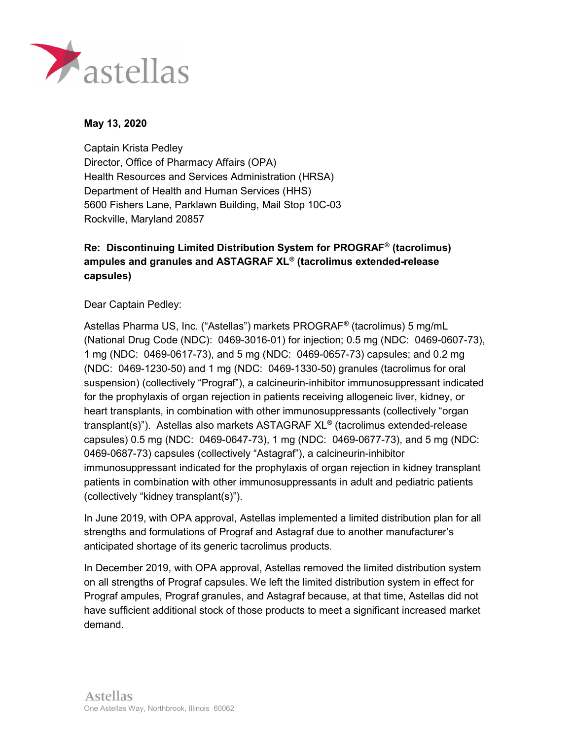

## May 13, 2020

 Captain Krista Pedley Director, Office of Pharmacy Affairs (OPA) Health Resources and Services Administration (HRSA) Department of Health and Human Services (HHS) 5600 Fishers Lane, Parklawn Building, Mail Stop 10C-03 Rockville, Maryland 20857

## Re: Discontinuing Limited Distribution System for PROGRAF® (tacrolimus) ampules and granules and ASTAGRAF XL® (tacrolimus extended-release capsules)

Dear Captain Pedley:

 Astellas Pharma US, Inc. ("Astellas") markets PROGRAF® (tacrolimus) 5 mg/mL (National Drug Code (NDC): 0469-3016-01) for injection; 0.5 mg (NDC: 0469-0607-73), 1 mg (NDC: 0469-0617-73), and 5 mg (NDC: 0469-0657-73) capsules; and 0.2 mg (NDC: 0469-1230-50) and 1 mg (NDC: 0469-1330-50) granules (tacrolimus for oral suspension) (collectively "Prograf"), a calcineurin-inhibitor immunosuppressant indicated for the prophylaxis of organ rejection in patients receiving allogeneic liver, kidney, or heart transplants, in combination with other immunosuppressants (collectively "organ transplant(s)"). Astellas also markets ASTAGRAF XL® (tacrolimus extended-release capsules) 0.5 mg (NDC: 0469-0647-73), 1 mg (NDC: 0469-0677-73), and 5 mg (NDC: 0469-0687-73) capsules (collectively "Astagraf"), a calcineurin-inhibitor immunosuppressant indicated for the prophylaxis of organ rejection in kidney transplant patients in combination with other immunosuppressants in adult and pediatric patients (collectively "kidney transplant(s)").

 In June 2019, with OPA approval, Astellas implemented a limited distribution plan for all strengths and formulations of Prograf and Astagraf due to another manufacturer's anticipated shortage of its generic tacrolimus products.

 In December 2019, with OPA approval, Astellas removed the limited distribution system on all strengths of Prograf capsules. We left the limited distribution system in effect for Prograf ampules, Prograf granules, and Astagraf because, at that time, Astellas did not have sufficient additional stock of those products to meet a significant increased market demand.